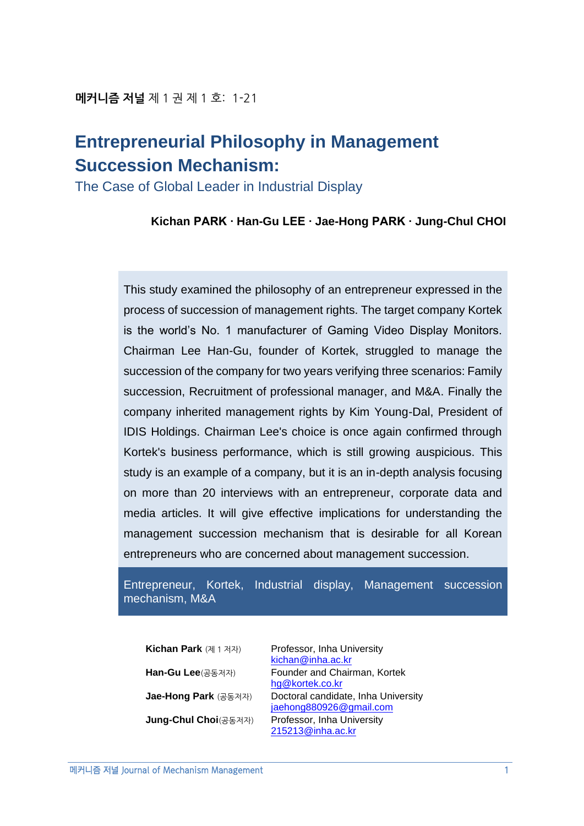# **Entrepreneurial Philosophy in Management Succession Mechanism:**

The Case of Global Leader in Industrial Display

**Kichan PARK ∙ Han-Gu LEE ∙ Jae-Hong PARK ∙ Jung-Chul CHOI**

This study examined the philosophy of an entrepreneur expressed in the process of succession of management rights. The target company Kortek is the world's No. 1 manufacturer of Gaming Video Display Monitors. Chairman Lee Han-Gu, founder of Kortek, struggled to manage the succession of the company for two years verifying three scenarios: Family succession, Recruitment of professional manager, and M&A. Finally the company inherited management rights by Kim Young-Dal, President of IDIS Holdings. Chairman Lee's choice is once again confirmed through Kortek's business performance, which is still growing auspicious. This study is an example of a company, but it is an in-depth analysis focusing on more than 20 interviews with an entrepreneur, corporate data and media articles. It will give effective implications for understanding the management succession mechanism that is desirable for all Korean entrepreneurs who are concerned about management succession.

Entrepreneur, Kortek, Industrial display, Management succession mechanism, M&A

**Kichan Park** (제 1 저자) Professor, Inha University [kichan@inha.ac.kr](mailto:kichan@inha.ac.kr) **Han-Gu Lee**(공동저자) Founder and Chairman, Kortek [hg@kortek.co.kr](mailto:hg@kortek.co.kr) **Jae-Hong Park** (공동저자) Doctoral candidate, Inha University [jaehong880926@gmail.com](mailto:jaehong880926@gmail.com) **Jung-Chul Choi**(공동저자) Professor, Inha University [215213@inha.ac.kr](mailto:215213@inha.ac.kr)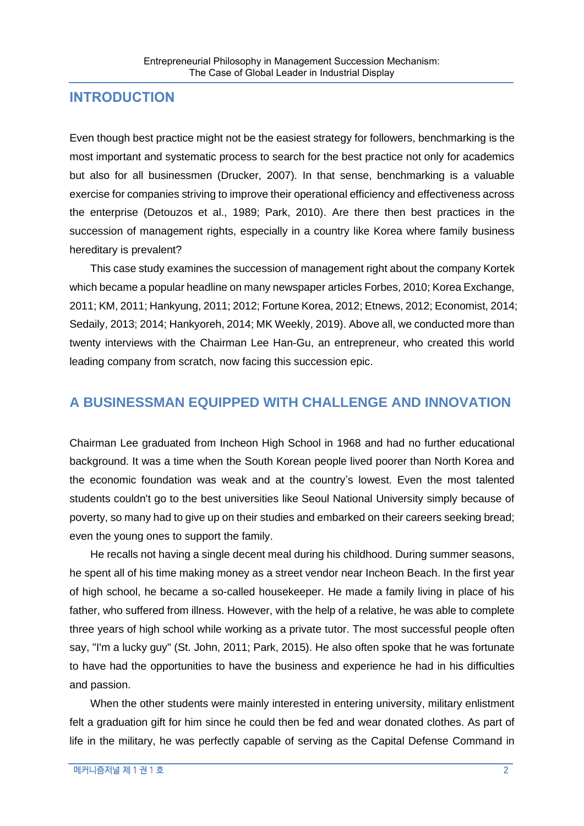### **INTRODUCTION**

Even though best practice might not be the easiest strategy for followers, benchmarking is the most important and systematic process to search for the best practice not only for academics but also for all businessmen (Drucker, 2007). In that sense, benchmarking is a valuable exercise for companies striving to improve their operational efficiency and effectiveness across the enterprise (Detouzos et al., 1989; Park, 2010). Are there then best practices in the succession of management rights, especially in a country like Korea where family business hereditary is prevalent?

This case study examines the succession of management right about the company Kortek which became a popular headline on many newspaper articles Forbes, 2010; Korea Exchange, 2011; KM, 2011; Hankyung, 2011; 2012; Fortune Korea, 2012; Etnews, 2012; Economist, 2014; Sedaily, 2013; 2014; Hankyoreh, 2014; MK Weekly, 2019). Above all, we conducted more than twenty interviews with the Chairman Lee Han-Gu, an entrepreneur, who created this world leading company from scratch, now facing this succession epic.

### **A BUSINESSMAN EQUIPPED WITH CHALLENGE AND INNOVATION**

Chairman Lee graduated from Incheon High School in 1968 and had no further educational background. It was a time when the South Korean people lived poorer than North Korea and the economic foundation was weak and at the country's lowest. Even the most talented students couldn't go to the best universities like Seoul National University simply because of poverty, so many had to give up on their studies and embarked on their careers seeking bread; even the young ones to support the family.

He recalls not having a single decent meal during his childhood. During summer seasons, he spent all of his time making money as a street vendor near Incheon Beach. In the first year of high school, he became a so-called housekeeper. He made a family living in place of his father, who suffered from illness. However, with the help of a relative, he was able to complete three years of high school while working as a private tutor. The most successful people often say, "I'm a lucky guy" (St. John, 2011; Park, 2015). He also often spoke that he was fortunate to have had the opportunities to have the business and experience he had in his difficulties and passion.

When the other students were mainly interested in entering university, military enlistment felt a graduation gift for him since he could then be fed and wear donated clothes. As part of life in the military, he was perfectly capable of serving as the Capital Defense Command in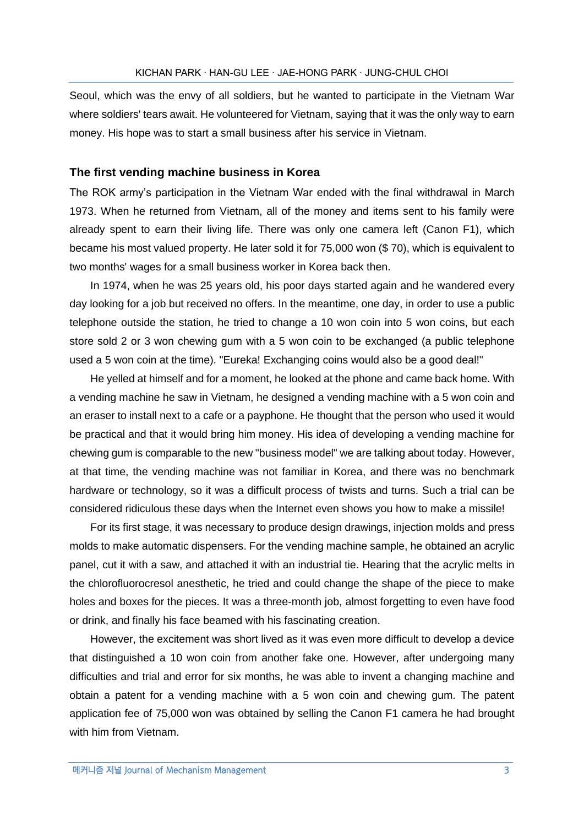Seoul, which was the envy of all soldiers, but he wanted to participate in the Vietnam War where soldiers' tears await. He volunteered for Vietnam, saying that it was the only way to earn money. His hope was to start a small business after his service in Vietnam.

#### **The first vending machine business in Korea**

The ROK army's participation in the Vietnam War ended with the final withdrawal in March 1973. When he returned from Vietnam, all of the money and items sent to his family were already spent to earn their living life. There was only one camera left (Canon F1), which became his most valued property. He later sold it for 75,000 won (\$ 70), which is equivalent to two months' wages for a small business worker in Korea back then.

In 1974, when he was 25 years old, his poor days started again and he wandered every day looking for a job but received no offers. In the meantime, one day, in order to use a public telephone outside the station, he tried to change a 10 won coin into 5 won coins, but each store sold 2 or 3 won chewing gum with a 5 won coin to be exchanged (a public telephone used a 5 won coin at the time). "Eureka! Exchanging coins would also be a good deal!"

He yelled at himself and for a moment, he looked at the phone and came back home. With a vending machine he saw in Vietnam, he designed a vending machine with a 5 won coin and an eraser to install next to a cafe or a payphone. He thought that the person who used it would be practical and that it would bring him money. His idea of developing a vending machine for chewing gum is comparable to the new "business model" we are talking about today. However, at that time, the vending machine was not familiar in Korea, and there was no benchmark hardware or technology, so it was a difficult process of twists and turns. Such a trial can be considered ridiculous these days when the Internet even shows you how to make a missile!

For its first stage, it was necessary to produce design drawings, injection molds and press molds to make automatic dispensers. For the vending machine sample, he obtained an acrylic panel, cut it with a saw, and attached it with an industrial tie. Hearing that the acrylic melts in the chlorofluorocresol anesthetic, he tried and could change the shape of the piece to make holes and boxes for the pieces. It was a three-month job, almost forgetting to even have food or drink, and finally his face beamed with his fascinating creation.

However, the excitement was short lived as it was even more difficult to develop a device that distinguished a 10 won coin from another fake one. However, after undergoing many difficulties and trial and error for six months, he was able to invent a changing machine and obtain a patent for a vending machine with a 5 won coin and chewing gum. The patent application fee of 75,000 won was obtained by selling the Canon F1 camera he had brought with him from Vietnam.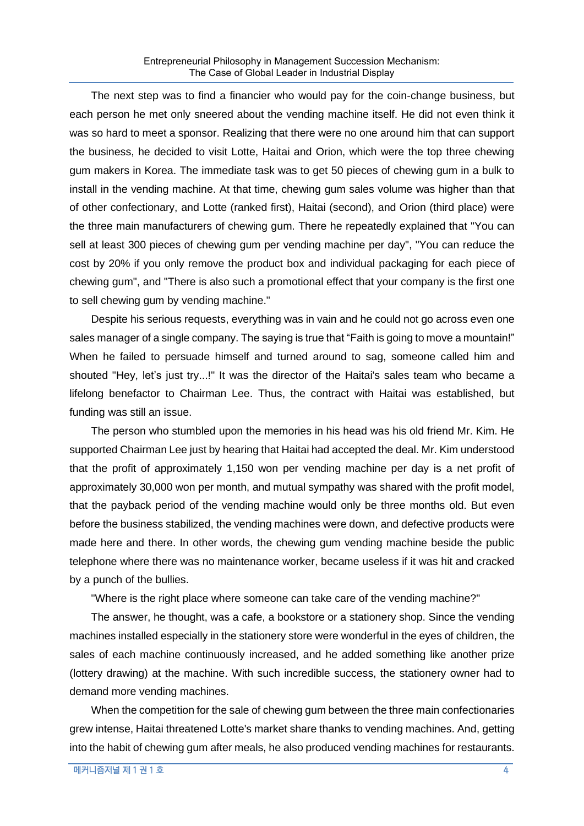The next step was to find a financier who would pay for the coin-change business, but each person he met only sneered about the vending machine itself. He did not even think it was so hard to meet a sponsor. Realizing that there were no one around him that can support the business, he decided to visit Lotte, Haitai and Orion, which were the top three chewing gum makers in Korea. The immediate task was to get 50 pieces of chewing gum in a bulk to install in the vending machine. At that time, chewing gum sales volume was higher than that of other confectionary, and Lotte (ranked first), Haitai (second), and Orion (third place) were the three main manufacturers of chewing gum. There he repeatedly explained that "You can sell at least 300 pieces of chewing gum per vending machine per day", "You can reduce the cost by 20% if you only remove the product box and individual packaging for each piece of chewing gum", and "There is also such a promotional effect that your company is the first one to sell chewing gum by vending machine."

Despite his serious requests, everything was in vain and he could not go across even one sales manager of a single company. The saying is true that "Faith is going to move a mountain!" When he failed to persuade himself and turned around to sag, someone called him and shouted "Hey, let's just try...!" It was the director of the Haitai's sales team who became a lifelong benefactor to Chairman Lee. Thus, the contract with Haitai was established, but funding was still an issue.

The person who stumbled upon the memories in his head was his old friend Mr. Kim. He supported Chairman Lee just by hearing that Haitai had accepted the deal. Mr. Kim understood that the profit of approximately 1,150 won per vending machine per day is a net profit of approximately 30,000 won per month, and mutual sympathy was shared with the profit model, that the payback period of the vending machine would only be three months old. But even before the business stabilized, the vending machines were down, and defective products were made here and there. In other words, the chewing gum vending machine beside the public telephone where there was no maintenance worker, became useless if it was hit and cracked by a punch of the bullies.

"Where is the right place where someone can take care of the vending machine?"

The answer, he thought, was a cafe, a bookstore or a stationery shop. Since the vending machines installed especially in the stationery store were wonderful in the eyes of children, the sales of each machine continuously increased, and he added something like another prize (lottery drawing) at the machine. With such incredible success, the stationery owner had to demand more vending machines.

When the competition for the sale of chewing gum between the three main confectionaries grew intense, Haitai threatened Lotte's market share thanks to vending machines. And, getting into the habit of chewing gum after meals, he also produced vending machines for restaurants.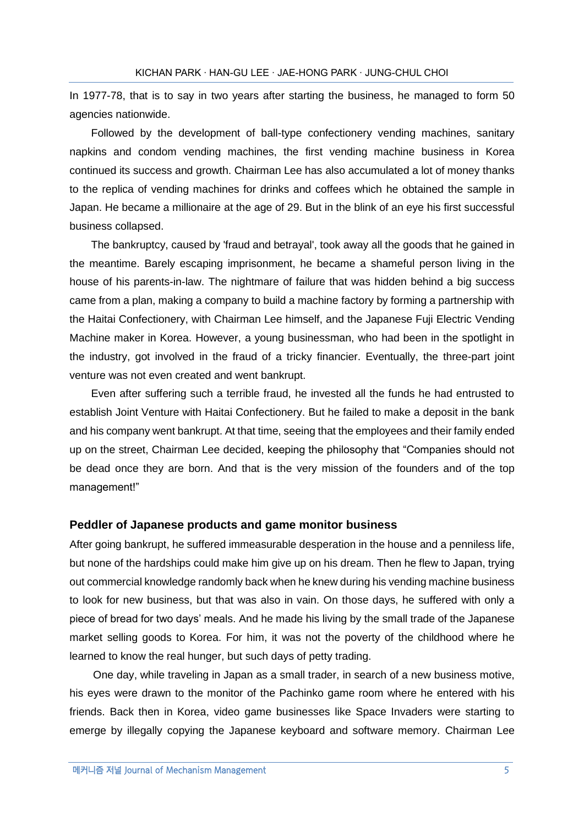In 1977-78, that is to say in two years after starting the business, he managed to form 50 agencies nationwide.

Followed by the development of ball-type confectionery vending machines, sanitary napkins and condom vending machines, the first vending machine business in Korea continued its success and growth. Chairman Lee has also accumulated a lot of money thanks to the replica of vending machines for drinks and coffees which he obtained the sample in Japan. He became a millionaire at the age of 29. But in the blink of an eye his first successful business collapsed.

The bankruptcy, caused by 'fraud and betrayal', took away all the goods that he gained in the meantime. Barely escaping imprisonment, he became a shameful person living in the house of his parents-in-law. The nightmare of failure that was hidden behind a big success came from a plan, making a company to build a machine factory by forming a partnership with the Haitai Confectionery, with Chairman Lee himself, and the Japanese Fuji Electric Vending Machine maker in Korea. However, a young businessman, who had been in the spotlight in the industry, got involved in the fraud of a tricky financier. Eventually, the three-part joint venture was not even created and went bankrupt.

Even after suffering such a terrible fraud, he invested all the funds he had entrusted to establish Joint Venture with Haitai Confectionery. But he failed to make a deposit in the bank and his company went bankrupt. At that time, seeing that the employees and their family ended up on the street, Chairman Lee decided, keeping the philosophy that "Companies should not be dead once they are born. And that is the very mission of the founders and of the top management!"

#### **Peddler of Japanese products and game monitor business**

After going bankrupt, he suffered immeasurable desperation in the house and a penniless life, but none of the hardships could make him give up on his dream. Then he flew to Japan, trying out commercial knowledge randomly back when he knew during his vending machine business to look for new business, but that was also in vain. On those days, he suffered with only a piece of bread for two days' meals. And he made his living by the small trade of the Japanese market selling goods to Korea. For him, it was not the poverty of the childhood where he learned to know the real hunger, but such days of petty trading.

One day, while traveling in Japan as a small trader, in search of a new business motive, his eyes were drawn to the monitor of the Pachinko game room where he entered with his friends. Back then in Korea, video game businesses like Space Invaders were starting to emerge by illegally copying the Japanese keyboard and software memory. Chairman Lee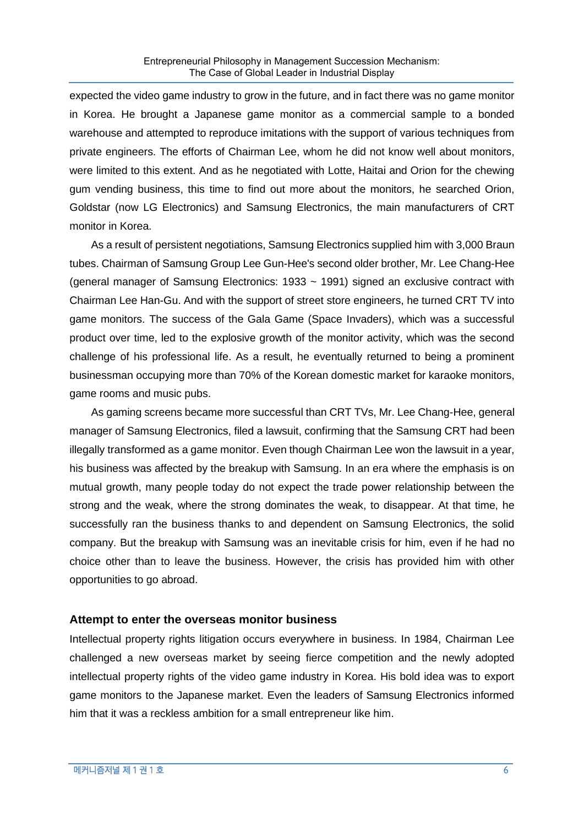expected the video game industry to grow in the future, and in fact there was no game monitor in Korea. He brought a Japanese game monitor as a commercial sample to a bonded warehouse and attempted to reproduce imitations with the support of various techniques from private engineers. The efforts of Chairman Lee, whom he did not know well about monitors, were limited to this extent. And as he negotiated with Lotte, Haitai and Orion for the chewing gum vending business, this time to find out more about the monitors, he searched Orion, Goldstar (now LG Electronics) and Samsung Electronics, the main manufacturers of CRT monitor in Korea.

As a result of persistent negotiations, Samsung Electronics supplied him with 3,000 Braun tubes. Chairman of Samsung Group Lee Gun-Hee's second older brother, Mr. Lee Chang-Hee (general manager of Samsung Electronics: 1933 ~ 1991) signed an exclusive contract with Chairman Lee Han-Gu. And with the support of street store engineers, he turned CRT TV into game monitors. The success of the Gala Game (Space Invaders), which was a successful product over time, led to the explosive growth of the monitor activity, which was the second challenge of his professional life. As a result, he eventually returned to being a prominent businessman occupying more than 70% of the Korean domestic market for karaoke monitors, game rooms and music pubs.

As gaming screens became more successful than CRT TVs, Mr. Lee Chang-Hee, general manager of Samsung Electronics, filed a lawsuit, confirming that the Samsung CRT had been illegally transformed as a game monitor. Even though Chairman Lee won the lawsuit in a year, his business was affected by the breakup with Samsung. In an era where the emphasis is on mutual growth, many people today do not expect the trade power relationship between the strong and the weak, where the strong dominates the weak, to disappear. At that time, he successfully ran the business thanks to and dependent on Samsung Electronics, the solid company. But the breakup with Samsung was an inevitable crisis for him, even if he had no choice other than to leave the business. However, the crisis has provided him with other opportunities to go abroad.

### **Attempt to enter the overseas monitor business**

Intellectual property rights litigation occurs everywhere in business. In 1984, Chairman Lee challenged a new overseas market by seeing fierce competition and the newly adopted intellectual property rights of the video game industry in Korea. His bold idea was to export game monitors to the Japanese market. Even the leaders of Samsung Electronics informed him that it was a reckless ambition for a small entrepreneur like him.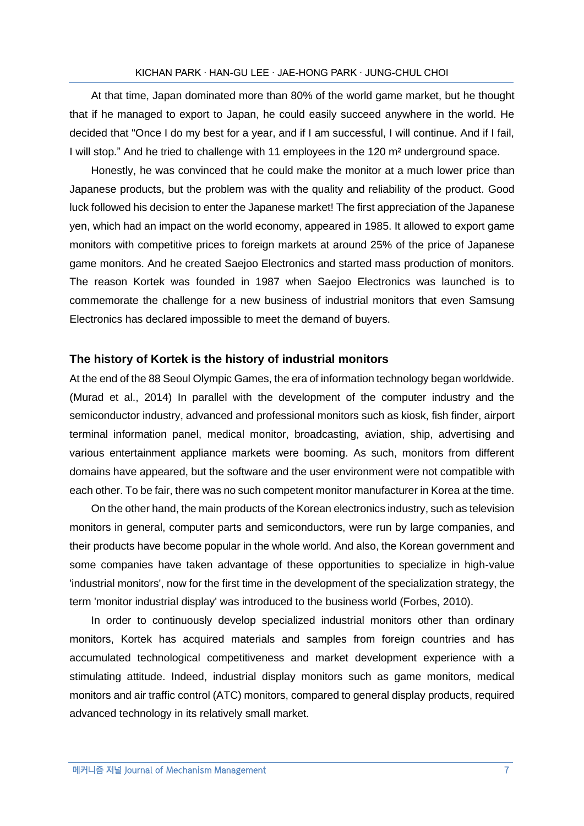At that time, Japan dominated more than 80% of the world game market, but he thought that if he managed to export to Japan, he could easily succeed anywhere in the world. He decided that "Once I do my best for a year, and if I am successful, I will continue. And if I fail, I will stop." And he tried to challenge with 11 employees in the 120 m<sup>2</sup> underground space.

Honestly, he was convinced that he could make the monitor at a much lower price than Japanese products, but the problem was with the quality and reliability of the product. Good luck followed his decision to enter the Japanese market! The first appreciation of the Japanese yen, which had an impact on the world economy, appeared in 1985. It allowed to export game monitors with competitive prices to foreign markets at around 25% of the price of Japanese game monitors. And he created Saejoo Electronics and started mass production of monitors. The reason Kortek was founded in 1987 when Saejoo Electronics was launched is to commemorate the challenge for a new business of industrial monitors that even Samsung Electronics has declared impossible to meet the demand of buyers.

#### **The history of Kortek is the history of industrial monitors**

At the end of the 88 Seoul Olympic Games, the era of information technology began worldwide. (Murad et al., 2014) In parallel with the development of the computer industry and the semiconductor industry, advanced and professional monitors such as kiosk, fish finder, airport terminal information panel, medical monitor, broadcasting, aviation, ship, advertising and various entertainment appliance markets were booming. As such, monitors from different domains have appeared, but the software and the user environment were not compatible with each other. To be fair, there was no such competent monitor manufacturer in Korea at the time.

On the other hand, the main products of the Korean electronics industry, such as television monitors in general, computer parts and semiconductors, were run by large companies, and their products have become popular in the whole world. And also, the Korean government and some companies have taken advantage of these opportunities to specialize in high-value 'industrial monitors', now for the first time in the development of the specialization strategy, the term 'monitor industrial display' was introduced to the business world (Forbes, 2010).

In order to continuously develop specialized industrial monitors other than ordinary monitors, Kortek has acquired materials and samples from foreign countries and has accumulated technological competitiveness and market development experience with a stimulating attitude. Indeed, industrial display monitors such as game monitors, medical monitors and air traffic control (ATC) monitors, compared to general display products, required advanced technology in its relatively small market.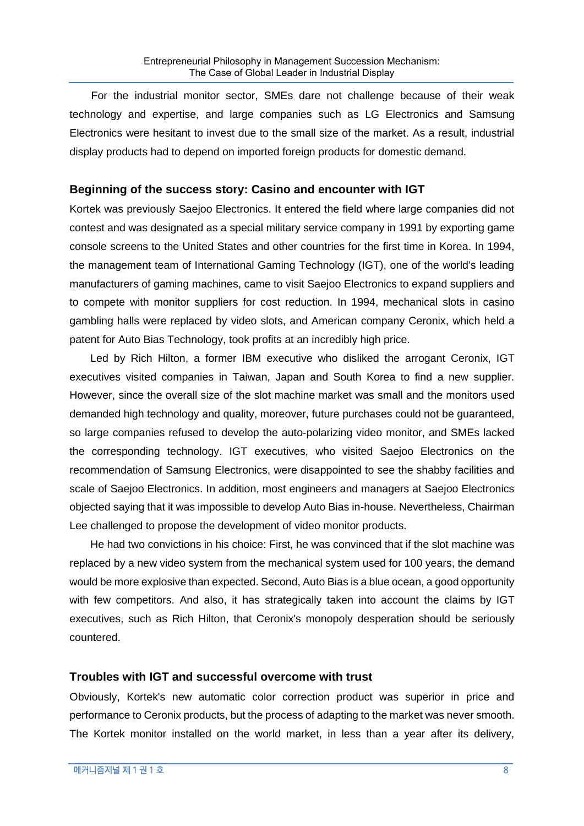For the industrial monitor sector, SMEs dare not challenge because of their weak technology and expertise, and large companies such as LG Electronics and Samsung Electronics were hesitant to invest due to the small size of the market. As a result, industrial display products had to depend on imported foreign products for domestic demand.

### **Beginning of the success story: Casino and encounter with IGT**

Kortek was previously Saejoo Electronics. It entered the field where large companies did not contest and was designated as a special military service company in 1991 by exporting game console screens to the United States and other countries for the first time in Korea. In 1994, the management team of International Gaming Technology (IGT), one of the world's leading manufacturers of gaming machines, came to visit Saejoo Electronics to expand suppliers and to compete with monitor suppliers for cost reduction. In 1994, mechanical slots in casino gambling halls were replaced by video slots, and American company Ceronix, which held a patent for Auto Bias Technology, took profits at an incredibly high price.

Led by Rich Hilton, a former IBM executive who disliked the arrogant Ceronix, IGT executives visited companies in Taiwan, Japan and South Korea to find a new supplier. However, since the overall size of the slot machine market was small and the monitors used demanded high technology and quality, moreover, future purchases could not be guaranteed, so large companies refused to develop the auto-polarizing video monitor, and SMEs lacked the corresponding technology. IGT executives, who visited Saejoo Electronics on the recommendation of Samsung Electronics, were disappointed to see the shabby facilities and scale of Saejoo Electronics. In addition, most engineers and managers at Saejoo Electronics objected saying that it was impossible to develop Auto Bias in-house. Nevertheless, Chairman Lee challenged to propose the development of video monitor products.

He had two convictions in his choice: First, he was convinced that if the slot machine was replaced by a new video system from the mechanical system used for 100 years, the demand would be more explosive than expected. Second, Auto Bias is a blue ocean, a good opportunity with few competitors. And also, it has strategically taken into account the claims by IGT executives, such as Rich Hilton, that Ceronix's monopoly desperation should be seriously countered.

### **Troubles with IGT and successful overcome with trust**

Obviously, Kortek's new automatic color correction product was superior in price and performance to Ceronix products, but the process of adapting to the market was never smooth. The Kortek monitor installed on the world market, in less than a year after its delivery,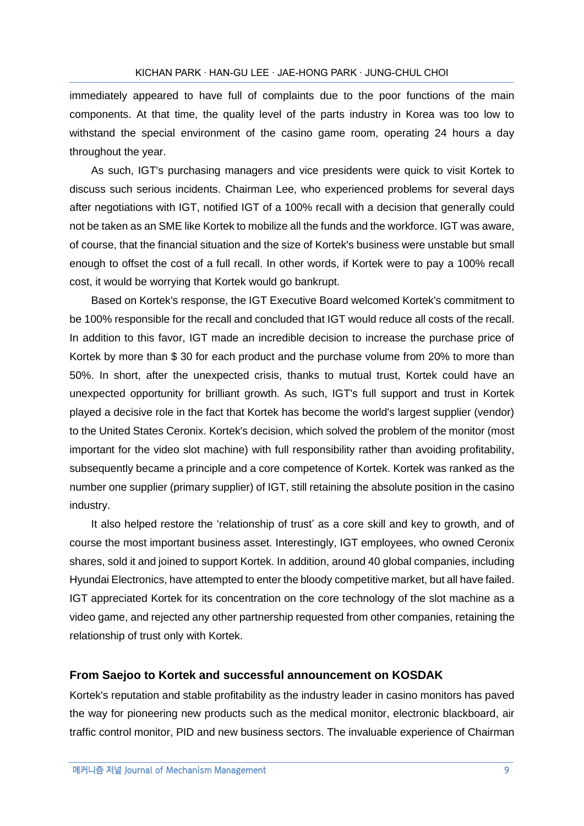immediately appeared to have full of complaints due to the poor functions of the main components. At that time, the quality level of the parts industry in Korea was too low to withstand the special environment of the casino game room, operating 24 hours a day throughout the year.

As such, IGT's purchasing managers and vice presidents were quick to visit Kortek to discuss such serious incidents. Chairman Lee, who experienced problems for several days after negotiations with IGT, notified IGT of a 100% recall with a decision that generally could not be taken as an SME like Kortek to mobilize all the funds and the workforce. IGT was aware, of course, that the financial situation and the size of Kortek's business were unstable but small enough to offset the cost of a full recall. In other words, if Kortek were to pay a 100% recall cost, it would be worrying that Kortek would go bankrupt.

Based on Kortek's response, the IGT Executive Board welcomed Kortek's commitment to be 100% responsible for the recall and concluded that IGT would reduce all costs of the recall. In addition to this favor, IGT made an incredible decision to increase the purchase price of Kortek by more than \$ 30 for each product and the purchase volume from 20% to more than 50%. In short, after the unexpected crisis, thanks to mutual trust, Kortek could have an unexpected opportunity for brilliant growth. As such, IGT's full support and trust in Kortek played a decisive role in the fact that Kortek has become the world's largest supplier (vendor) to the United States Ceronix. Kortek's decision, which solved the problem of the monitor (most important for the video slot machine) with full responsibility rather than avoiding profitability, subsequently became a principle and a core competence of Kortek. Kortek was ranked as the number one supplier (primary supplier) of IGT, still retaining the absolute position in the casino industry.

It also helped restore the 'relationship of trust' as a core skill and key to growth, and of course the most important business asset. Interestingly, IGT employees, who owned Ceronix shares, sold it and joined to support Kortek. In addition, around 40 global companies, including Hyundai Electronics, have attempted to enter the bloody competitive market, but all have failed. IGT appreciated Kortek for its concentration on the core technology of the slot machine as a video game, and rejected any other partnership requested from other companies, retaining the relationship of trust only with Kortek.

#### **From Saejoo to Kortek and successful announcement on KOSDAK**

Kortek's reputation and stable profitability as the industry leader in casino monitors has paved the way for pioneering new products such as the medical monitor, electronic blackboard, air traffic control monitor, PID and new business sectors. The invaluable experience of Chairman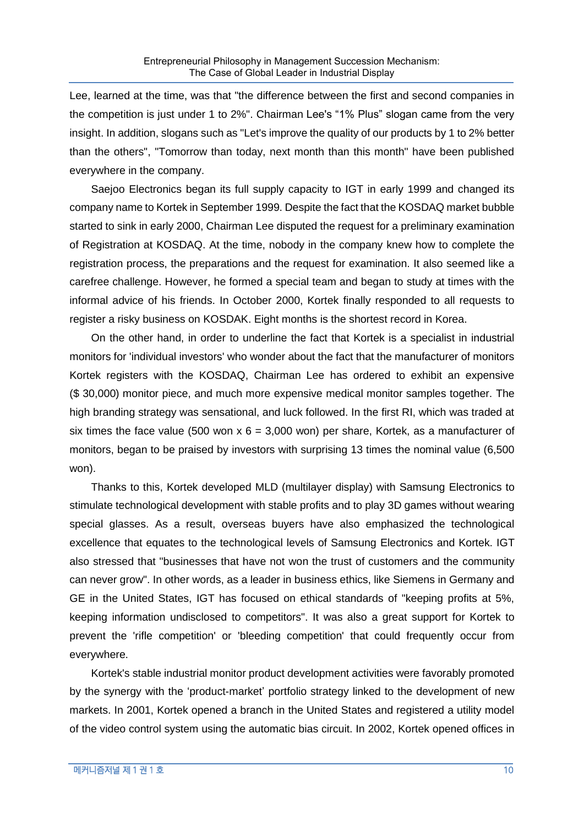Lee, learned at the time, was that "the difference between the first and second companies in the competition is just under 1 to 2%". Chairman Lee's "1% Plus" slogan came from the very insight. In addition, slogans such as "Let's improve the quality of our products by 1 to 2% better than the others", "Tomorrow than today, next month than this month" have been published everywhere in the company.

Saejoo Electronics began its full supply capacity to IGT in early 1999 and changed its company name to Kortek in September 1999. Despite the fact that the KOSDAQ market bubble started to sink in early 2000, Chairman Lee disputed the request for a preliminary examination of Registration at KOSDAQ. At the time, nobody in the company knew how to complete the registration process, the preparations and the request for examination. It also seemed like a carefree challenge. However, he formed a special team and began to study at times with the informal advice of his friends. In October 2000, Kortek finally responded to all requests to register a risky business on KOSDAK. Eight months is the shortest record in Korea.

On the other hand, in order to underline the fact that Kortek is a specialist in industrial monitors for 'individual investors' who wonder about the fact that the manufacturer of monitors Kortek registers with the KOSDAQ, Chairman Lee has ordered to exhibit an expensive (\$ 30,000) monitor piece, and much more expensive medical monitor samples together. The high branding strategy was sensational, and luck followed. In the first RI, which was traded at six times the face value (500 won  $x$  6 = 3,000 won) per share, Kortek, as a manufacturer of monitors, began to be praised by investors with surprising 13 times the nominal value (6,500 won).

Thanks to this, Kortek developed MLD (multilayer display) with Samsung Electronics to stimulate technological development with stable profits and to play 3D games without wearing special glasses. As a result, overseas buyers have also emphasized the technological excellence that equates to the technological levels of Samsung Electronics and Kortek. IGT also stressed that "businesses that have not won the trust of customers and the community can never grow". In other words, as a leader in business ethics, like Siemens in Germany and GE in the United States, IGT has focused on ethical standards of "keeping profits at 5%, keeping information undisclosed to competitors". It was also a great support for Kortek to prevent the 'rifle competition' or 'bleeding competition' that could frequently occur from everywhere.

Kortek's stable industrial monitor product development activities were favorably promoted by the synergy with the 'product-market' portfolio strategy linked to the development of new markets. In 2001, Kortek opened a branch in the United States and registered a utility model of the video control system using the automatic bias circuit. In 2002, Kortek opened offices in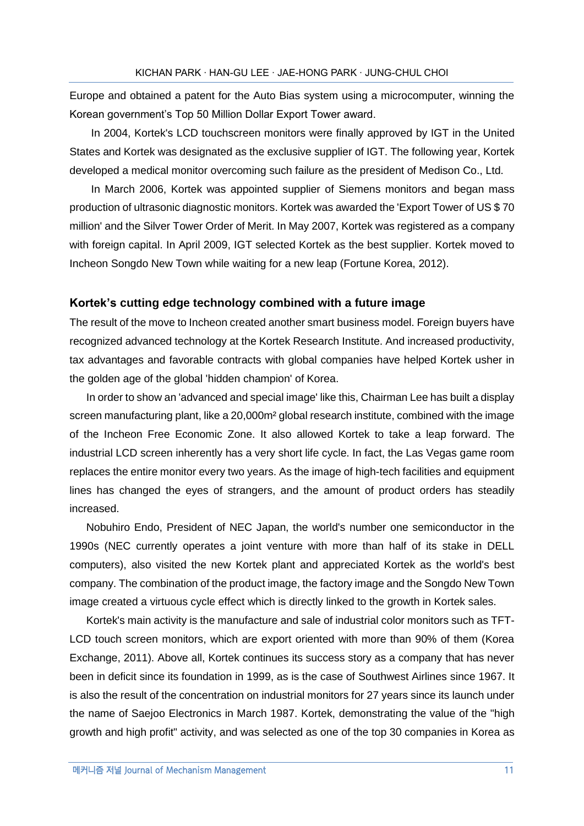Europe and obtained a patent for the Auto Bias system using a microcomputer, winning the Korean government's Top 50 Million Dollar Export Tower award.

In 2004, Kortek's LCD touchscreen monitors were finally approved by IGT in the United States and Kortek was designated as the exclusive supplier of IGT. The following year, Kortek developed a medical monitor overcoming such failure as the president of Medison Co., Ltd.

In March 2006, Kortek was appointed supplier of Siemens monitors and began mass production of ultrasonic diagnostic monitors. Kortek was awarded the 'Export Tower of US \$ 70 million' and the Silver Tower Order of Merit. In May 2007, Kortek was registered as a company with foreign capital. In April 2009, IGT selected Kortek as the best supplier. Kortek moved to Incheon Songdo New Town while waiting for a new leap (Fortune Korea, 2012).

#### **Kortek's cutting edge technology combined with a future image**

The result of the move to Incheon created another smart business model. Foreign buyers have recognized advanced technology at the Kortek Research Institute. And increased productivity, tax advantages and favorable contracts with global companies have helped Kortek usher in the golden age of the global 'hidden champion' of Korea.

In order to show an 'advanced and special image' like this, Chairman Lee has built a display screen manufacturing plant, like a 20,000m<sup>2</sup> global research institute, combined with the image of the Incheon Free Economic Zone. It also allowed Kortek to take a leap forward. The industrial LCD screen inherently has a very short life cycle. In fact, the Las Vegas game room replaces the entire monitor every two years. As the image of high-tech facilities and equipment lines has changed the eyes of strangers, and the amount of product orders has steadily increased.

Nobuhiro Endo, President of NEC Japan, the world's number one semiconductor in the 1990s (NEC currently operates a joint venture with more than half of its stake in DELL computers), also visited the new Kortek plant and appreciated Kortek as the world's best company. The combination of the product image, the factory image and the Songdo New Town image created a virtuous cycle effect which is directly linked to the growth in Kortek sales.

Kortek's main activity is the manufacture and sale of industrial color monitors such as TFT-LCD touch screen monitors, which are export oriented with more than 90% of them (Korea Exchange, 2011). Above all, Kortek continues its success story as a company that has never been in deficit since its foundation in 1999, as is the case of Southwest Airlines since 1967. It is also the result of the concentration on industrial monitors for 27 years since its launch under the name of Saejoo Electronics in March 1987. Kortek, demonstrating the value of the "high growth and high profit" activity, and was selected as one of the top 30 companies in Korea as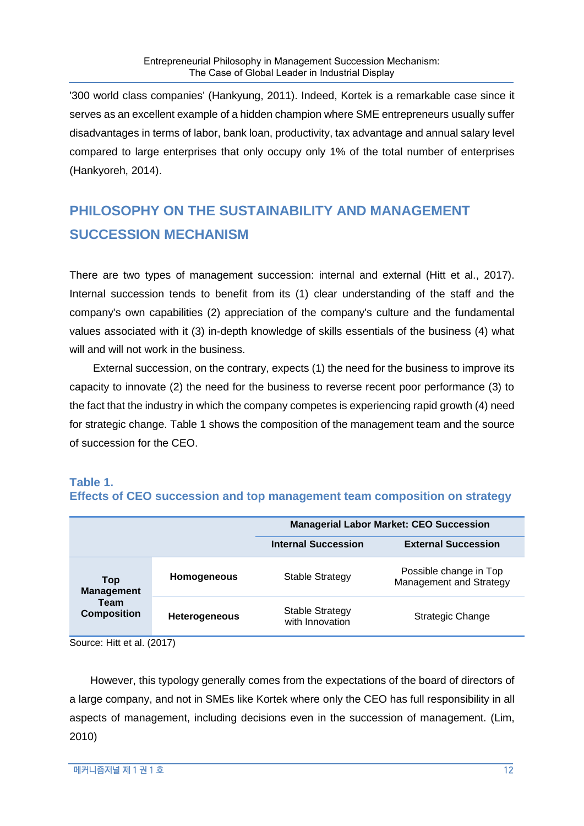'300 world class companies' (Hankyung, 2011). Indeed, Kortek is a remarkable case since it serves as an excellent example of a hidden champion where SME entrepreneurs usually suffer disadvantages in terms of labor, bank loan, productivity, tax advantage and annual salary level compared to large enterprises that only occupy only 1% of the total number of enterprises (Hankyoreh, 2014).

# **PHILOSOPHY ON THE SUSTAINABILITY AND MANAGEMENT SUCCESSION MECHANISM**

There are two types of management succession: internal and external (Hitt et al., 2017). Internal succession tends to benefit from its (1) clear understanding of the staff and the company's own capabilities (2) appreciation of the company's culture and the fundamental values associated with it (3) in-depth knowledge of skills essentials of the business (4) what will and will not work in the business.

External succession, on the contrary, expects (1) the need for the business to improve its capacity to innovate (2) the need for the business to reverse recent poor performance (3) to the fact that the industry in which the company competes is experiencing rapid growth (4) need for strategic change. Table 1 shows the composition of the management team and the source of succession for the CEO.

## **Table 1.**

### **Effects of CEO succession and top management team composition on strategy**

|                            |                      | <b>Managerial Labor Market: CEO Succession</b> |                                                   |
|----------------------------|----------------------|------------------------------------------------|---------------------------------------------------|
|                            |                      | <b>Internal Succession</b>                     | <b>External Succession</b>                        |
| Top<br><b>Management</b>   | Homogeneous          | <b>Stable Strategy</b>                         | Possible change in Top<br>Management and Strategy |
| Team<br><b>Composition</b> | <b>Heterogeneous</b> | <b>Stable Strategy</b><br>with Innovation      | <b>Strategic Change</b>                           |

Source: Hitt et al. (2017)

However, this typology generally comes from the expectations of the board of directors of a large company, and not in SMEs like Kortek where only the CEO has full responsibility in all aspects of management, including decisions even in the succession of management. (Lim, 2010)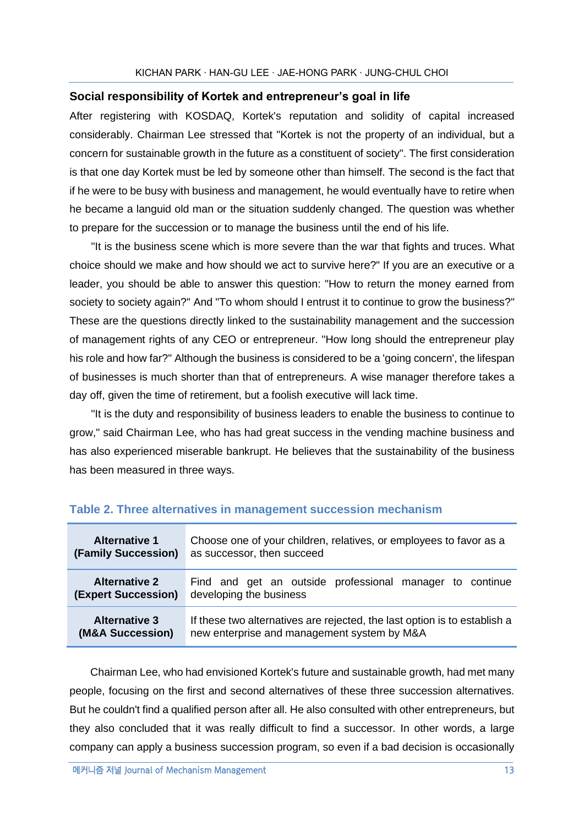### **Social responsibility of Kortek and entrepreneur's goal in life**

After registering with KOSDAQ, Kortek's reputation and solidity of capital increased considerably. Chairman Lee stressed that "Kortek is not the property of an individual, but a concern for sustainable growth in the future as a constituent of society". The first consideration is that one day Kortek must be led by someone other than himself. The second is the fact that if he were to be busy with business and management, he would eventually have to retire when he became a languid old man or the situation suddenly changed. The question was whether to prepare for the succession or to manage the business until the end of his life.

"It is the business scene which is more severe than the war that fights and truces. What choice should we make and how should we act to survive here?" If you are an executive or a leader, you should be able to answer this question: "How to return the money earned from society to society again?" And "To whom should I entrust it to continue to grow the business?" These are the questions directly linked to the sustainability management and the succession of management rights of any CEO or entrepreneur. "How long should the entrepreneur play his role and how far?" Although the business is considered to be a 'going concern', the lifespan of businesses is much shorter than that of entrepreneurs. A wise manager therefore takes a day off, given the time of retirement, but a foolish executive will lack time.

"It is the duty and responsibility of business leaders to enable the business to continue to grow," said Chairman Lee, who has had great success in the vending machine business and has also experienced miserable bankrupt. He believes that the sustainability of the business has been measured in three ways.

| <b>Alternative 1</b> | Choose one of your children, relatives, or employees to favor as a        |  |
|----------------------|---------------------------------------------------------------------------|--|
| (Family Succession)  | as successor, then succeed                                                |  |
| <b>Alternative 2</b> | Find and get an outside professional manager to continue                  |  |
| (Expert Succession)  | developing the business                                                   |  |
| <b>Alternative 3</b> | If these two alternatives are rejected, the last option is to establish a |  |
| (M&A Succession)     | new enterprise and management system by M&A                               |  |

### **Table 2. Three alternatives in management succession mechanism**

Chairman Lee, who had envisioned Kortek's future and sustainable growth, had met many people, focusing on the first and second alternatives of these three succession alternatives. But he couldn't find a qualified person after all. He also consulted with other entrepreneurs, but they also concluded that it was really difficult to find a successor. In other words, a large company can apply a business succession program, so even if a bad decision is occasionally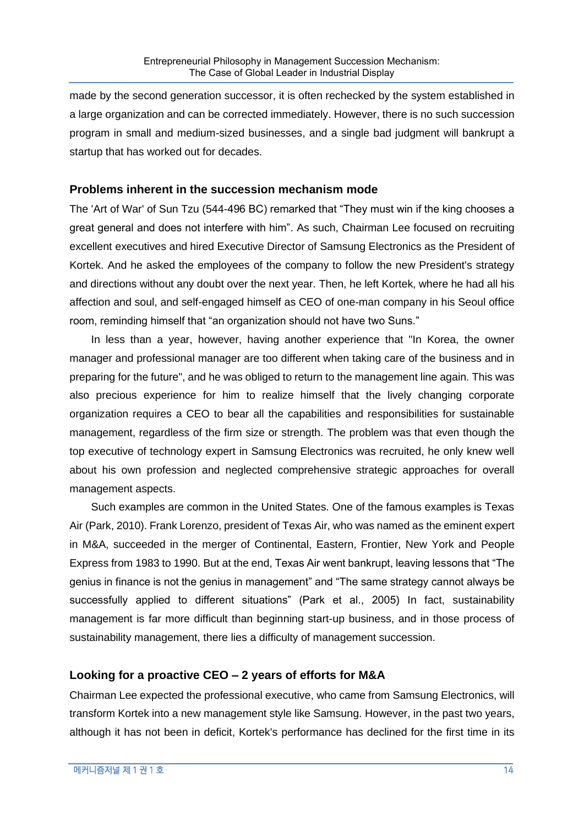made by the second generation successor, it is often rechecked by the system established in a large organization and can be corrected immediately. However, there is no such succession program in small and medium-sized businesses, and a single bad judgment will bankrupt a startup that has worked out for decades.

### **Problems inherent in the succession mechanism mode**

The 'Art of War' of Sun Tzu (544-496 BC) remarked that "They must win if the king chooses a great general and does not interfere with him". As such, Chairman Lee focused on recruiting excellent executives and hired Executive Director of Samsung Electronics as the President of Kortek. And he asked the employees of the company to follow the new President's strategy and directions without any doubt over the next year. Then, he left Kortek, where he had all his affection and soul, and self-engaged himself as CEO of one-man company in his Seoul office room, reminding himself that "an organization should not have two Suns."

In less than a year, however, having another experience that "In Korea, the owner manager and professional manager are too different when taking care of the business and in preparing for the future", and he was obliged to return to the management line again. This was also precious experience for him to realize himself that the lively changing corporate organization requires a CEO to bear all the capabilities and responsibilities for sustainable management, regardless of the firm size or strength. The problem was that even though the top executive of technology expert in Samsung Electronics was recruited, he only knew well about his own profession and neglected comprehensive strategic approaches for overall management aspects.

Such examples are common in the United States. One of the famous examples is Texas Air (Park, 2010). Frank Lorenzo, president of Texas Air, who was named as the eminent expert in M&A, succeeded in the merger of Continental, Eastern, Frontier, New York and People Express from 1983 to 1990. But at the end, Texas Air went bankrupt, leaving lessons that "The genius in finance is not the genius in management" and "The same strategy cannot always be successfully applied to different situations" (Park et al., 2005) In fact, sustainability management is far more difficult than beginning start-up business, and in those process of sustainability management, there lies a difficulty of management succession.

### **Looking for a proactive CEO – 2 years of efforts for M&A**

Chairman Lee expected the professional executive, who came from Samsung Electronics, will transform Kortek into a new management style like Samsung. However, in the past two years, although it has not been in deficit, Kortek's performance has declined for the first time in its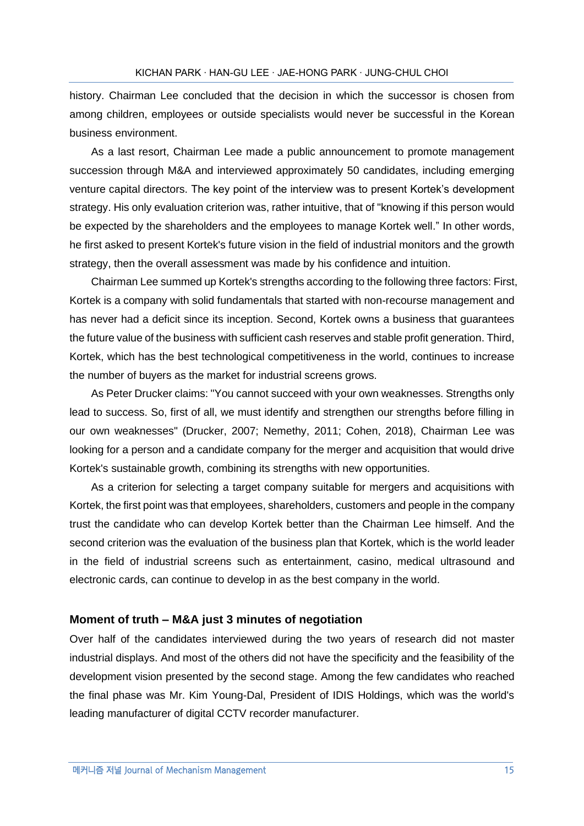history. Chairman Lee concluded that the decision in which the successor is chosen from among children, employees or outside specialists would never be successful in the Korean business environment.

As a last resort, Chairman Lee made a public announcement to promote management succession through M&A and interviewed approximately 50 candidates, including emerging venture capital directors. The key point of the interview was to present Kortek's development strategy. His only evaluation criterion was, rather intuitive, that of "knowing if this person would be expected by the shareholders and the employees to manage Kortek well." In other words, he first asked to present Kortek's future vision in the field of industrial monitors and the growth strategy, then the overall assessment was made by his confidence and intuition.

Chairman Lee summed up Kortek's strengths according to the following three factors: First, Kortek is a company with solid fundamentals that started with non-recourse management and has never had a deficit since its inception. Second, Kortek owns a business that guarantees the future value of the business with sufficient cash reserves and stable profit generation. Third, Kortek, which has the best technological competitiveness in the world, continues to increase the number of buyers as the market for industrial screens grows.

As Peter Drucker claims: "You cannot succeed with your own weaknesses. Strengths only lead to success. So, first of all, we must identify and strengthen our strengths before filling in our own weaknesses" (Drucker, 2007; Nemethy, 2011; Cohen, 2018), Chairman Lee was looking for a person and a candidate company for the merger and acquisition that would drive Kortek's sustainable growth, combining its strengths with new opportunities.

As a criterion for selecting a target company suitable for mergers and acquisitions with Kortek, the first point was that employees, shareholders, customers and people in the company trust the candidate who can develop Kortek better than the Chairman Lee himself. And the second criterion was the evaluation of the business plan that Kortek, which is the world leader in the field of industrial screens such as entertainment, casino, medical ultrasound and electronic cards, can continue to develop in as the best company in the world.

#### **Moment of truth – M&A just 3 minutes of negotiation**

Over half of the candidates interviewed during the two years of research did not master industrial displays. And most of the others did not have the specificity and the feasibility of the development vision presented by the second stage. Among the few candidates who reached the final phase was Mr. Kim Young-Dal, President of IDIS Holdings, which was the world's leading manufacturer of digital CCTV recorder manufacturer.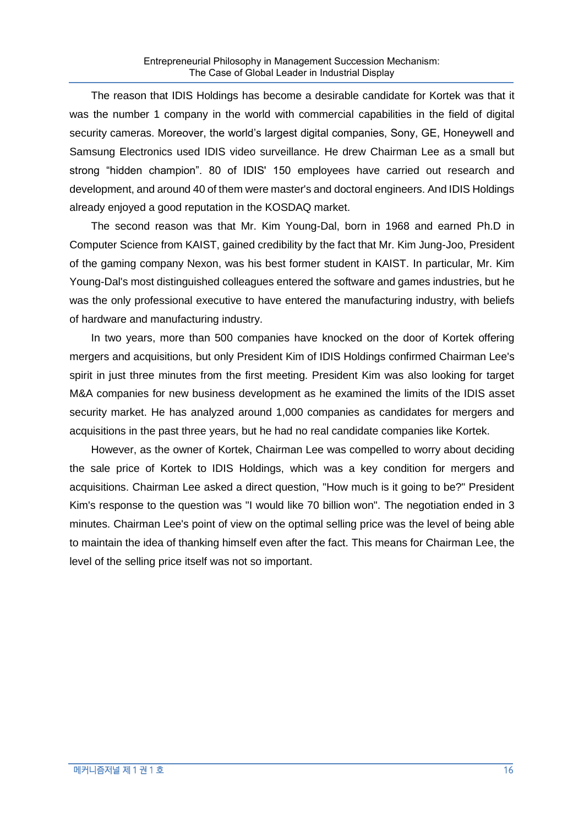The reason that IDIS Holdings has become a desirable candidate for Kortek was that it was the number 1 company in the world with commercial capabilities in the field of digital security cameras. Moreover, the world's largest digital companies, Sony, GE, Honeywell and Samsung Electronics used IDIS video surveillance. He drew Chairman Lee as a small but strong "hidden champion". 80 of IDIS' 150 employees have carried out research and development, and around 40 of them were master's and doctoral engineers. And IDIS Holdings already enjoyed a good reputation in the KOSDAQ market.

The second reason was that Mr. Kim Young-Dal, born in 1968 and earned Ph.D in Computer Science from KAIST, gained credibility by the fact that Mr. Kim Jung-Joo, President of the gaming company Nexon, was his best former student in KAIST. In particular, Mr. Kim Young-Dal's most distinguished colleagues entered the software and games industries, but he was the only professional executive to have entered the manufacturing industry, with beliefs of hardware and manufacturing industry.

In two years, more than 500 companies have knocked on the door of Kortek offering mergers and acquisitions, but only President Kim of IDIS Holdings confirmed Chairman Lee's spirit in just three minutes from the first meeting. President Kim was also looking for target M&A companies for new business development as he examined the limits of the IDIS asset security market. He has analyzed around 1,000 companies as candidates for mergers and acquisitions in the past three years, but he had no real candidate companies like Kortek.

However, as the owner of Kortek, Chairman Lee was compelled to worry about deciding the sale price of Kortek to IDIS Holdings, which was a key condition for mergers and acquisitions. Chairman Lee asked a direct question, "How much is it going to be?" President Kim's response to the question was "I would like 70 billion won". The negotiation ended in 3 minutes. Chairman Lee's point of view on the optimal selling price was the level of being able to maintain the idea of thanking himself even after the fact. This means for Chairman Lee, the level of the selling price itself was not so important.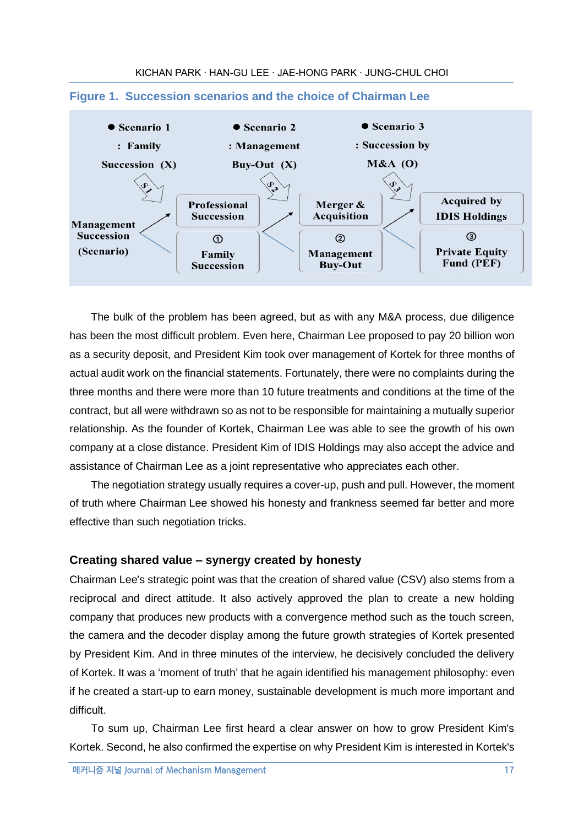

### **Figure 1. Succession scenarios and the choice of Chairman Lee**

The bulk of the problem has been agreed, but as with any M&A process, due diligence has been the most difficult problem. Even here, Chairman Lee proposed to pay 20 billion won as a security deposit, and President Kim took over management of Kortek for three months of actual audit work on the financial statements. Fortunately, there were no complaints during the three months and there were more than 10 future treatments and conditions at the time of the contract, but all were withdrawn so as not to be responsible for maintaining a mutually superior relationship. As the founder of Kortek, Chairman Lee was able to see the growth of his own company at a close distance. President Kim of IDIS Holdings may also accept the advice and assistance of Chairman Lee as a joint representative who appreciates each other.

The negotiation strategy usually requires a cover-up, push and pull. However, the moment of truth where Chairman Lee showed his honesty and frankness seemed far better and more effective than such negotiation tricks.

### **Creating shared value – synergy created by honesty**

Chairman Lee's strategic point was that the creation of shared value (CSV) also stems from a reciprocal and direct attitude. It also actively approved the plan to create a new holding company that produces new products with a convergence method such as the touch screen, the camera and the decoder display among the future growth strategies of Kortek presented by President Kim. And in three minutes of the interview, he decisively concluded the delivery of Kortek. It was a 'moment of truth' that he again identified his management philosophy: even if he created a start-up to earn money, sustainable development is much more important and difficult.

To sum up, Chairman Lee first heard a clear answer on how to grow President Kim's Kortek. Second, he also confirmed the expertise on why President Kim is interested in Kortek's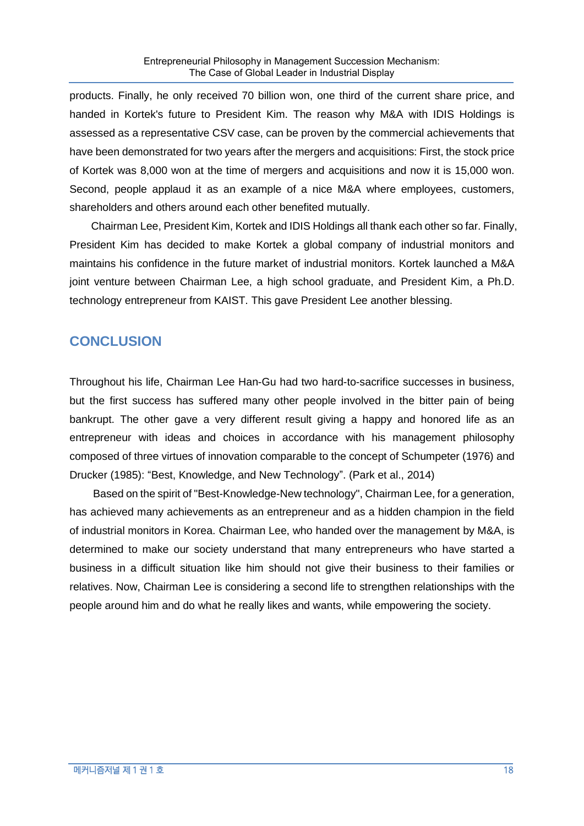products. Finally, he only received 70 billion won, one third of the current share price, and handed in Kortek's future to President Kim. The reason why M&A with IDIS Holdings is assessed as a representative CSV case, can be proven by the commercial achievements that have been demonstrated for two years after the mergers and acquisitions: First, the stock price of Kortek was 8,000 won at the time of mergers and acquisitions and now it is 15,000 won. Second, people applaud it as an example of a nice M&A where employees, customers, shareholders and others around each other benefited mutually.

Chairman Lee, President Kim, Kortek and IDIS Holdings all thank each other so far. Finally, President Kim has decided to make Kortek a global company of industrial monitors and maintains his confidence in the future market of industrial monitors. Kortek launched a M&A joint venture between Chairman Lee, a high school graduate, and President Kim, a Ph.D. technology entrepreneur from KAIST. This gave President Lee another blessing.

### **CONCLUSION**

Throughout his life, Chairman Lee Han-Gu had two hard-to-sacrifice successes in business, but the first success has suffered many other people involved in the bitter pain of being bankrupt. The other gave a very different result giving a happy and honored life as an entrepreneur with ideas and choices in accordance with his management philosophy composed of three virtues of innovation comparable to the concept of Schumpeter (1976) and Drucker (1985): "Best, Knowledge, and New Technology". (Park et al., 2014)

Based on the spirit of "Best-Knowledge-New technology", Chairman Lee, for a generation, has achieved many achievements as an entrepreneur and as a hidden champion in the field of industrial monitors in Korea. Chairman Lee, who handed over the management by M&A, is determined to make our society understand that many entrepreneurs who have started a business in a difficult situation like him should not give their business to their families or relatives. Now, Chairman Lee is considering a second life to strengthen relationships with the people around him and do what he really likes and wants, while empowering the society.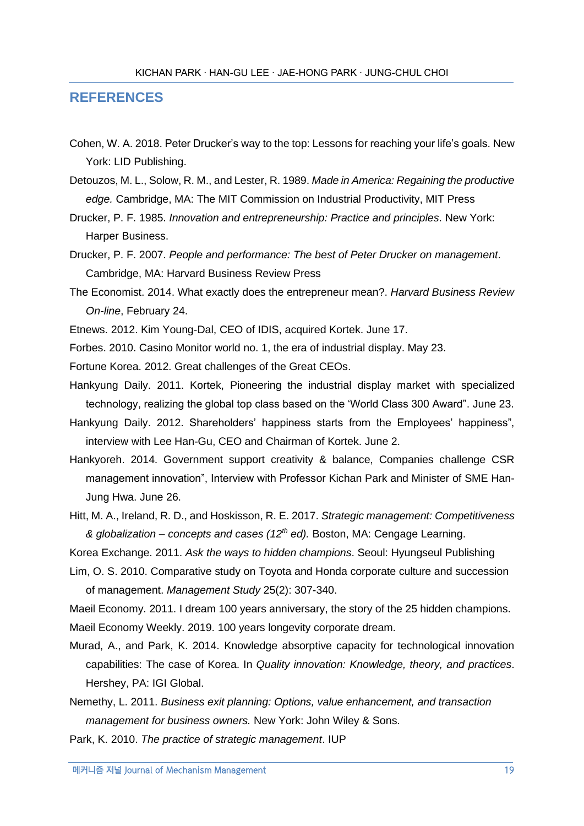### **REFERENCES**

- Cohen, W. A. 2018. Peter Drucker's way to the top: Lessons for reaching your life's goals. New York: LID Publishing.
- Detouzos, M. L., Solow, R. M., and Lester, R. 1989. *Made in America: Regaining the productive edge.* Cambridge, MA: The MIT Commission on Industrial Productivity, MIT Press
- Drucker, P. F. 1985. *Innovation and entrepreneurship: Practice and principles*. New York: Harper Business.
- Drucker, P. F. 2007. *People and performance: The best of Peter Drucker on management*. Cambridge, MA: Harvard Business Review Press
- The Economist. 2014. What exactly does the entrepreneur mean?. *Harvard Business Review On-line*, February 24.
- Etnews. 2012. Kim Young-Dal, CEO of IDIS, acquired Kortek. June 17.
- Forbes. 2010. Casino Monitor world no. 1, the era of industrial display. May 23.
- Fortune Korea. 2012. Great challenges of the Great CEOs.
- Hankyung Daily. 2011. Kortek, Pioneering the industrial display market with specialized technology, realizing the global top class based on the 'World Class 300 Award". June 23.
- Hankyung Daily. 2012. Shareholders' happiness starts from the Employees' happiness", interview with Lee Han-Gu, CEO and Chairman of Kortek. June 2.
- Hankyoreh. 2014. Government support creativity & balance, Companies challenge CSR management innovation", Interview with Professor Kichan Park and Minister of SME Han-Jung Hwa. June 26.
- Hitt, M. A., Ireland, R. D., and Hoskisson, R. E. 2017. *Strategic management: Competitiveness & globalization – concepts and cases (12th ed).* Boston, MA: Cengage Learning.

Korea Exchange. 2011. *Ask the ways to hidden champions*. Seoul: Hyungseul Publishing

Lim, O. S. 2010. Comparative study on Toyota and Honda corporate culture and succession of management. *Management Study* 25(2): 307-340.

Maeil Economy. 2011. I dream 100 years anniversary, the story of the 25 hidden champions.

Maeil Economy Weekly. 2019. 100 years longevity corporate dream.

- Murad, A., and Park, K. 2014. Knowledge absorptive capacity for technological innovation capabilities: The case of Korea. In *Quality innovation: Knowledge, theory, and practices*. Hershey, PA: IGI Global.
- Nemethy, L. 2011. *Business exit planning: Options, value enhancement, and transaction management for business owners.* New York: John Wiley & Sons.

Park, K. 2010. *The practice of strategic management*. IUP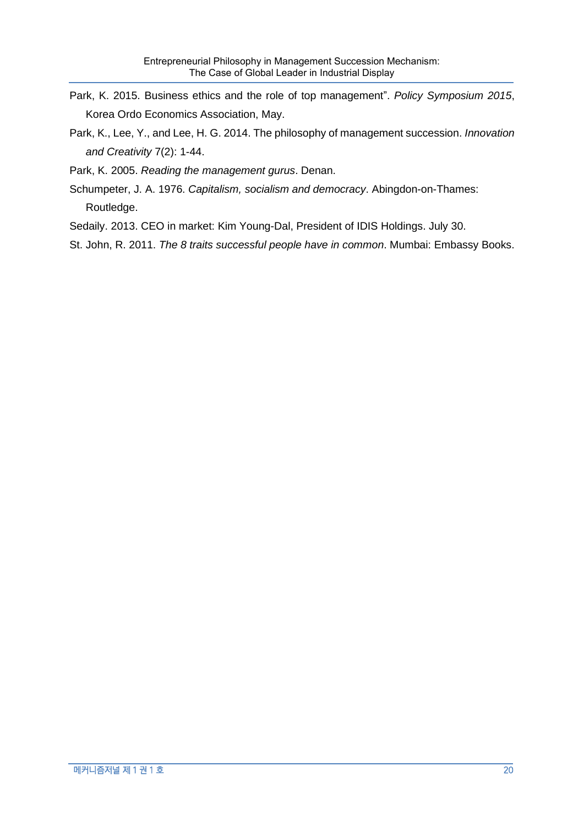- Park, K. 2015. Business ethics and the role of top management". *Policy Symposium 2015*, Korea Ordo Economics Association, May.
- Park, K., Lee, Y., and Lee, H. G. 2014. The philosophy of management succession. *Innovation and Creativity* 7(2): 1-44.
- Park, K. 2005. *Reading the management gurus*. Denan.
- Schumpeter, J. A. 1976. *Capitalism, socialism and democracy*. Abingdon-on-Thames: Routledge.
- Sedaily. 2013. CEO in market: Kim Young-Dal, President of IDIS Holdings. July 30.
- St. John, R. 2011. *The 8 traits successful people have in common*. Mumbai: Embassy Books.